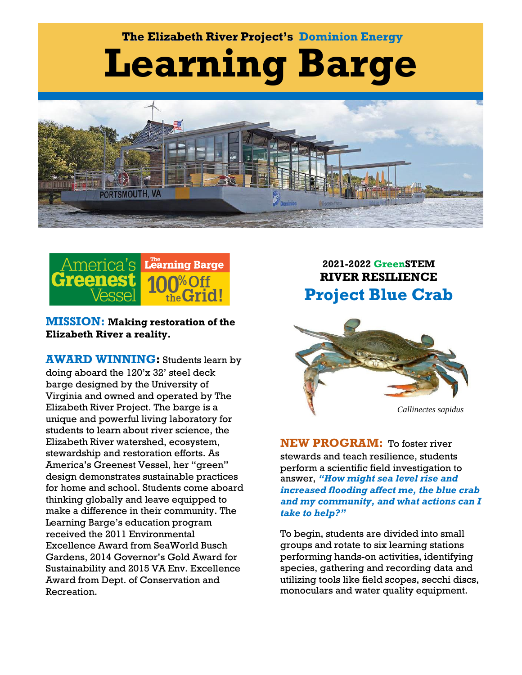# **Learning Barge The Elizabeth River Project's Dominion Energy**





**MISSION: Making restoration of the Elizabeth River a reality.**

**AWARD WINNING:** Students learn by doing aboard the 120'x 32' steel deck barge designed by the University of Virginia and owned and operated by The Elizabeth River Project. The barge is a unique and powerful living laboratory for students to learn about river science, the Elizabeth River watershed, ecosystem, stewardship and restoration efforts. As America's Greenest Vessel, her "green" design demonstrates sustainable practices for home and school. Students come aboard thinking globally and leave equipped to make a difference in their community. The Learning Barge's education program received the 2011 Environmental Excellence Award from SeaWorld Busch Gardens, 2014 Governor's Gold Award for Sustainability and 2015 VA Env. Excellence Award from Dept. of Conservation and Recreation.

# **2021-2022 GreenSTEM RIVER RESILIENCE Project Blue Crab**



*Callinectes sapidus*

**NEW PROGRAM:** To foster river stewards and teach resilience, students perform a scientific field investigation to answer, *"How might sea level rise and increased flooding affect me, the blue crab and my community, and what actions can I take to help?"*

To begin, students are divided into small groups and rotate to six learning stations performing hands-on activities, identifying species, gathering and recording data and utilizing tools like field scopes, secchi discs, monoculars and water quality equipment.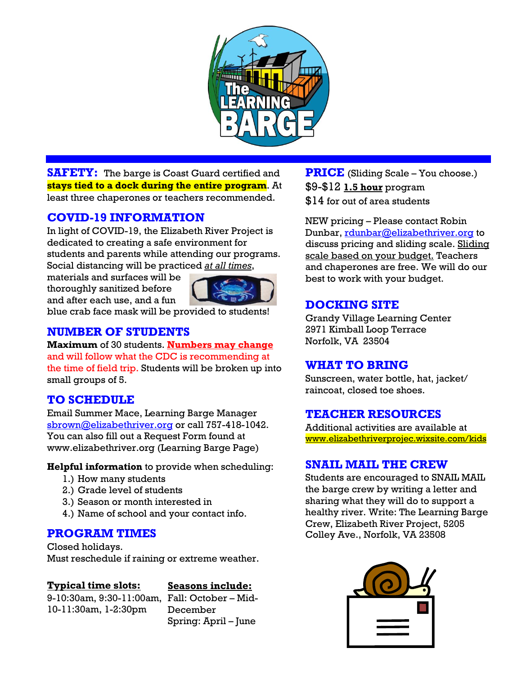

**SAFETY:** The barge is Coast Guard certified and **stays tied to a dock during the entire program**. At least three chaperones or teachers recommended.

# **COVID-19 INFORMATION**

In light of COVID-19, the Elizabeth River Project is dedicated to creating a safe environment for students and parents while attending our programs. Social distancing will be practiced *at all times*,

materials and surfaces will be thoroughly sanitized before and after each use, and a fun



blue crab face mask will be provided to students!

### **NUMBER OF STUDENTS**

**Maximum** of 30 students. **Numbers may change** and will follow what the CDC is recommending at the time of field trip. Students will be broken up into small groups of 5.

# **TO SCHEDULE**

Email Summer Mace, Learning Barge Manager [sbrown@elizabethriver.org](mailto:sbrown@elizabethriver.org) or call 757-418-1042. You can also fill out a Request Form found at [www.elizabethriver.org](http://www.elizabethriver.org/) (Learning Barge Page)

**Helpful information** to provide when scheduling:

- 1.) How many students
- 2.) Grade level of students
- 3.) Season or month interested in
- 4.) Name of school and your contact info.

### **PROGRAM TIMES**

Closed holidays. Must reschedule if raining or extreme weather.

### **Typical time slots:**

### **Seasons include:**

9-10:30am, 9:30-11:00am, Fall: October – Mid-10-11:30am, 1-2:30pm

December Spring: April – June **PRICE** (Sliding Scale – You choose.) \$9-\$12 **1.5 hour** program \$14 for out of area students

NEW pricing – Please contact Robin Dunbar, [rdunbar@elizabethriver.org](mailto:rdunbar@elizabethriver.org) to discuss pricing and sliding scale. Sliding scale based on your budget. Teachers and chaperones are free. We will do our best to work with your budget.

# **DOCKING SITE**

Grandy Village Learning Center 2971 Kimball Loop Terrace Norfolk, VA 23504

### **WHAT TO BRING**

Sunscreen, water bottle, hat, jacket/ raincoat, closed toe shoes.

### **TEACHER RESOURCES**

Additional activities are available at www.elizabethriverprojec.wixsite.com/kids

### **SNAIL MAIL THE CREW**

Students are encouraged to SNAIL MAIL the barge crew by writing a letter and sharing what they will do to support a healthy river. Write: The Learning Barge Crew, Elizabeth River Project, 5205 Colley Ave., Norfolk, VA 23508

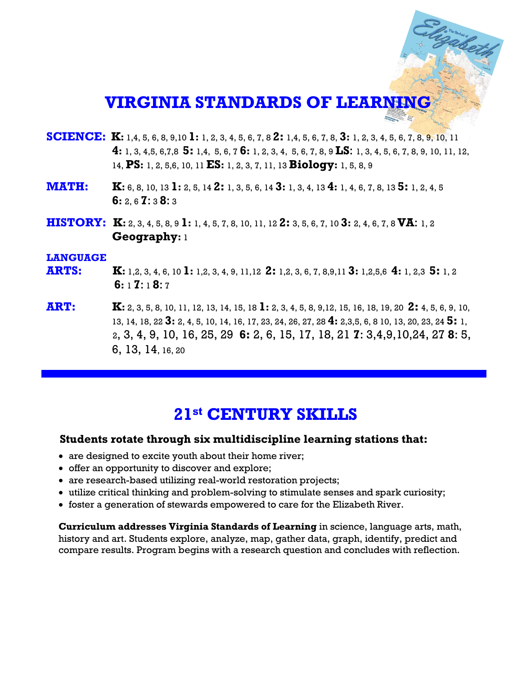# **VIRGINIA STANDARDS OF LEARNING**

Elizabeth

- **SCIENCE: K:** 1,4, 5, 6, 8, 9,10 **1:** 1, 2, 3, 4, 5, 6, 7, 8 **2:** 1,4, 5, 6, 7, 8, **3:** 1, 2, 3, 4, 5, 6, 7, 8, 9, 10, 11  **4:** 1, 3, 4,5, 6,7,8 **5:** 1,4, 5, 6, 7 **6:** 1, 2, 3, 4, 5, 6, 7, 8, 9 **LS**: 1, 3, 4, 5, 6, 7, 8, 9, 10, 11, 12, 14, **PS:** 1, 2, 5,6, 10, 11 **ES:** 1, 2, 3, 7, 11, 13 **Biology:** 1, 5, 8, 9
- **MATH: K:** 6, 8, 10, 13 **1:** 2, 5, 14 **2:** 1, 3, 5, 6, 14 **3:** 1, 3, 4, 13 **4:** 1, 4, 6, 7, 8, <sup>13</sup>**5:** 1, 2, 4, 5  **6:** 2, 6 **7**: 3 **8**: 3
- **HISTORY: K:** 2, 3, 4, 5, 8, 9 **1:** 1, 4, 5, 7, 8, 10, 11, 12 **2:** 3, 5, 6, 7, 10 **3:** 2, 4, 6, 7, 8 **VA**: 1, 2  **Geography:** 1

#### **LANGUAGE**

- **ARTS: K:** 1,2, 3, 4, 6, 10 **1:** 1,2, 3, 4, 9, 11,12 **2:** 1,2, 3, 6, 7, 8,9,11 **3:** 1,2,5,6 **4:** 1, 2,3 **5:** 1, 2  **6:** 1 **7**: 1 **8**: 7
- **ART: K:** 2, 3, 5, 8, 10, 11, 12, 13, 14, 15, 18 **1:** 2, 3, 4, 5, 8, 9,12, 15, 16, 18, 19, 20 **2:** 4, 5, 6, 9, 10, 13, 14, 18, 22 **3:** 2, 4, 5, 10, 14, 16, 17, 23, 24, 26, 27, 28 **4:** 2,3,5, 6, 8 10, 13, 20, 23, 24 **5:** 1, 2, 3, 4, 9, 10, 16, 25, 29 **6:** 2, 6, 15, 17, 18, 21 **7**: 3,4,9,10,24, 27 **8**: 5, 6, 13, 14, 16, 20

# **21st CENTURY SKILLS**

#### **Students rotate through six multidiscipline learning stations that:**

- are designed to excite youth about their home river;
- offer an opportunity to discover and explore;
- are research-based utilizing real-world restoration projects;
- utilize critical thinking and problem-solving to stimulate senses and spark curiosity;
- foster a generation of stewards empowered to care for the Elizabeth River.

 compare results. Program begins with a research question and concludes with reflection.**Curriculum addresses Virginia Standards of Learning** in science, language arts, math, history and art. Students explore, analyze, map, gather data, graph, identify, predict and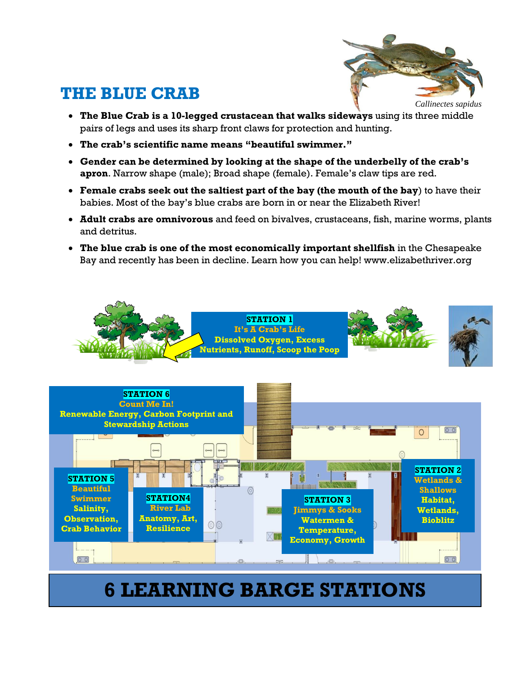# **THE BLUE CRAB**



- **The Blue Crab is a 10-legged crustacean that walks sideways** using its three middle pairs of legs and uses its sharp front claws for protection and hunting.
- **The crab's scientific name means "beautiful swimmer."**
- **Gender can be determined by looking at the shape of the underbelly of the crab's apron**. Narrow shape (male); Broad shape (female). Female's claw tips are red.
- **Female crabs seek out the saltiest part of the bay (the mouth of the bay**) to have their babies. Most of the bay's blue crabs are born in or near the Elizabeth River!
- **Adult crabs are omnivorous** and feed on bivalves, crustaceans, fish, marine worms, plants and detritus.
- **The blue crab is one of the most economically important shellfish** in the Chesapeake Bay and recently has been in decline. Learn how you can help! www.elizabethriver.org



# **6 LEARNING BARGE STATIONS**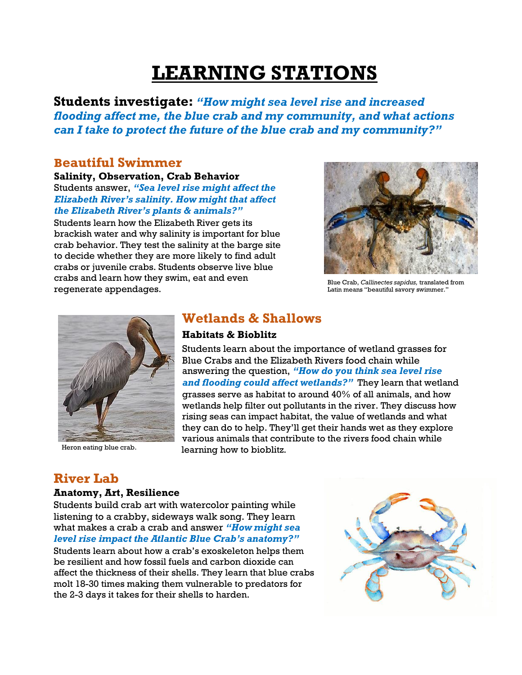# **LEARNING STATIONS**

**Students investigate:** *"How might sea level rise and increased flooding affect me, the blue crab and my community, and what actions can I take to protect the future of the blue crab and my community?"*

### **Beautiful Swimmer**

#### **Salinity, Observation, Crab Behavior**

Students answer, *"Sea level rise might affect the Elizabeth River's salinity. How might that affect the Elizabeth River's plants & animals?"* 

Students learn how the Elizabeth River gets its brackish water and why salinity is important for blue crab behavior. They test the salinity at the barge site to decide whether they are more likely to find adult crabs or juvenile crabs. Students observe live blue crabs and learn how they swim, eat and even regenerate appendages.



Blue Crab, *Callinectes sapidus,* translated from Latin means "beautiful savory swimmer."



Heron eating blue crab.

# **Wetlands & Shallows**

#### **Habitats & Bioblitz**

Students learn about the importance of wetland grasses for Blue Crabs and the Elizabeth Rivers food chain while answering the question, *"How do you think sea level rise and flooding could affect wetlands?"* They learn that wetland grasses serve as habitat to around 40% of all animals, and how wetlands help filter out pollutants in the river. They discuss how rising seas can impact habitat, the value of wetlands and what they can do to help. They'll get their hands wet as they explore various animals that contribute to the rivers food chain while learning how to bioblitz.

# **River Lab**

#### **Anatomy, Art, Resilience**

Students build crab art with watercolor painting while listening to a crabby, sideways walk song. They learn what makes a crab a crab and answer *"How might sea level rise impact the Atlantic Blue Crab's anatomy?"*

Students learn about how a crab's exoskeleton helps them be resilient and how fossil fuels and carbon dioxide can affect the thickness of their shells. They learn that blue crabs molt 18-30 times making them vulnerable to predators for the 2-3 days it takes for their shells to harden.

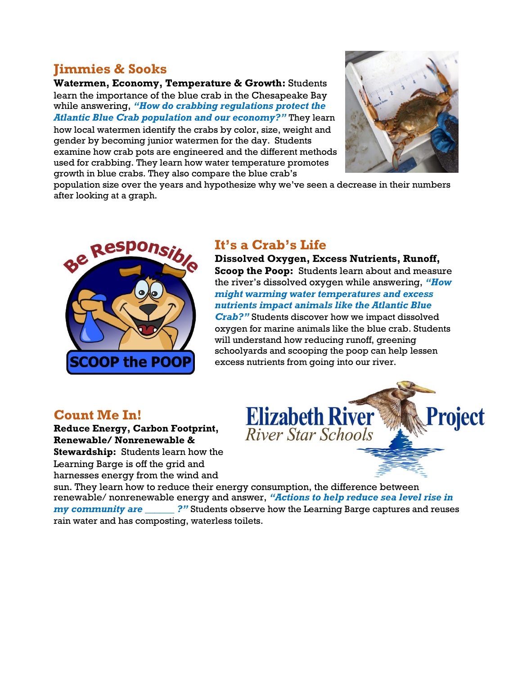# **Jimmies & Sooks**

**Watermen, Economy, Temperature & Growth:** Students learn the importance of the blue crab in the Chesapeake Bay while answering, *"How do crabbing regulations protect the Atlantic Blue Crab population and our economy?"* They learn how local watermen identify the crabs by color, size, weight and

gender by becoming junior watermen for the day. Students examine how crab pots are engineered and the different methods used for crabbing. They learn how water temperature promotes growth in blue crabs. They also compare the blue crab's



population size over the years and hypothesize why we've seen a decrease in their numbers after looking at a graph.



# **It's a Crab's Life**

**Dissolved Oxygen, Excess Nutrients, Runoff, Scoop the Poop:** Students learn about and measure the river's dissolved oxygen while answering, *"How might warming water temperatures and excess nutrients impact animals like the Atlantic Blue Crab?"* Students discover how we impact dissolved oxygen for marine animals like the blue crab. Students will understand how reducing runoff, greening schoolyards and scooping the poop can help lessen excess nutrients from going into our river.

# **Count Me In!**

**Reduce Energy, Carbon Footprint, Renewable/ Nonrenewable & Stewardship:** Students learn how the Learning Barge is off the grid and harnesses energy from the wind and



sun. They learn how to reduce their energy consumption, the difference between renewable/ nonrenewable energy and answer, *"Actions to help reduce sea level rise in my community are \_\_\_\_\_\_ ?"* Students observe how the Learning Barge captures and reuses rain water and has composting, waterless toilets.